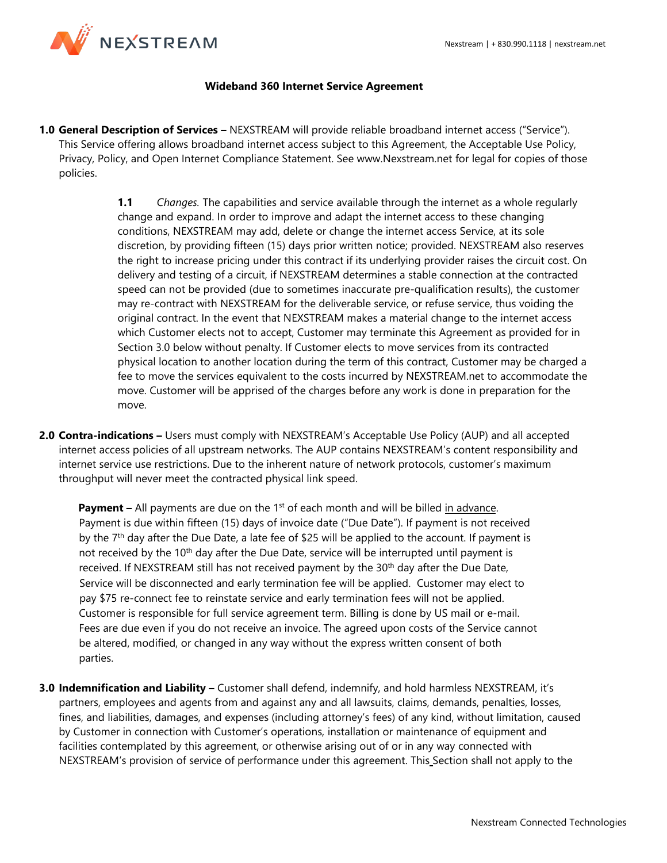

## **Wideband 360 Internet Service Agreement**

**1.0 General Description of Services –** NEXSTREAM will provide reliable broadband internet access ("Service"). This Service offering allows broadband internet access subject to this Agreement, the Acceptable Use Policy, Privacy, Policy, and Open Internet Compliance Statement. See www.Nexstream.net for legal for copies of those policies.

> **1.1** *Changes.* The capabilities and service available through the internet as a whole regularly change and expand. In order to improve and adapt the internet access to these changing conditions, NEXSTREAM may add, delete or change the internet access Service, at its sole discretion, by providing fifteen (15) days prior written notice; provided. NEXSTREAM also reserves the right to increase pricing under this contract if its underlying provider raises the circuit cost. On delivery and testing of a circuit, if NEXSTREAM determines a stable connection at the contracted speed can not be provided (due to sometimes inaccurate pre-qualification results), the customer may re-contract with NEXSTREAM for the deliverable service, or refuse service, thus voiding the original contract. In the event that NEXSTREAM makes a material change to the internet access which Customer elects not to accept, Customer may terminate this Agreement as provided for in Section 3.0 below without penalty. If Customer elects to move services from its contracted physical location to another location during the term of this contract, Customer may be charged a fee to move the services equivalent to the costs incurred by NEXSTREAM.net to accommodate the move. Customer will be apprised of the charges before any work is done in preparation for the move.

**2.0 Contra-indications –** Users must comply with NEXSTREAM's Acceptable Use Policy (AUP) and all accepted internet access policies of all upstream networks. The AUP contains NEXSTREAM's content responsibility and internet service use restrictions. Due to the inherent nature of network protocols, customer's maximum throughput will never meet the contracted physical link speed.

**Payment** – All payments are due on the 1<sup>st</sup> of each month and will be billed in advance. Payment is due within fifteen (15) days of invoice date ("Due Date"). If payment is not received by the 7<sup>th</sup> day after the Due Date, a late fee of \$25 will be applied to the account. If payment is not received by the  $10<sup>th</sup>$  day after the Due Date, service will be interrupted until payment is received. If NEXSTREAM still has not received payment by the 30<sup>th</sup> day after the Due Date, Service will be disconnected and early termination fee will be applied. Customer may elect to pay \$75 re-connect fee to reinstate service and early termination fees will not be applied. Customer is responsible for full service agreement term. Billing is done by US mail or e-mail. Fees are due even if you do not receive an invoice. The agreed upon costs of the Service cannot be altered, modified, or changed in any way without the express written consent of both parties.

**3.0 Indemnification and Liability –** Customer shall defend, indemnify, and hold harmless NEXSTREAM, it's partners, employees and agents from and against any and all lawsuits, claims, demands, penalties, losses, fines, and liabilities, damages, and expenses (including attorney's fees) of any kind, without limitation, caused by Customer in connection with Customer's operations, installation or maintenance of equipment and facilities contemplated by this agreement, or otherwise arising out of or in any way connected with NEXSTREAM's provision of service of performance under this agreement. This Section shall not apply to the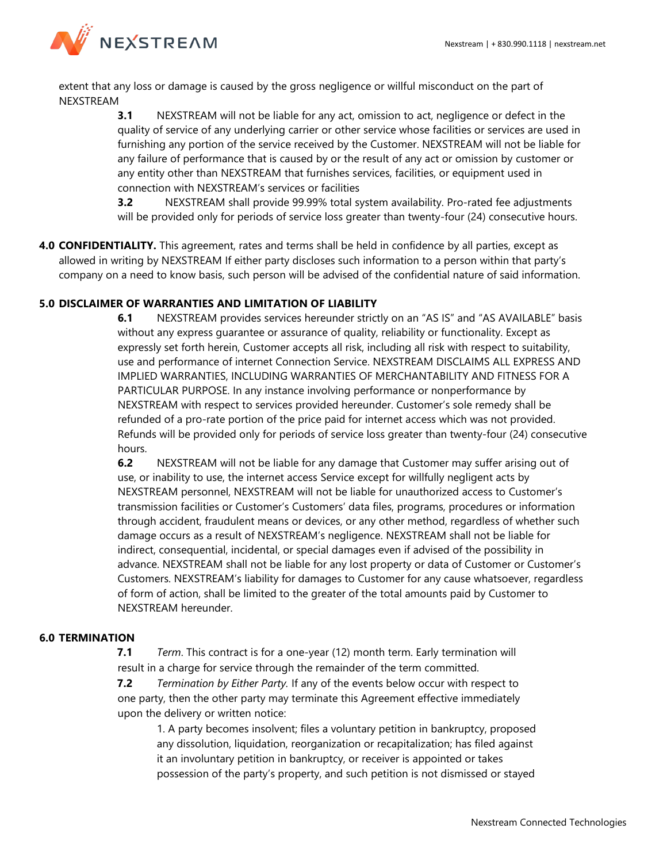

extent that any loss or damage is caused by the gross negligence or willful misconduct on the part of NEXSTREAM

> **3.1** NEXSTREAM will not be liable for any act, omission to act, negligence or defect in the quality of service of any underlying carrier or other service whose facilities or services are used in furnishing any portion of the service received by the Customer. NEXSTREAM will not be liable for any failure of performance that is caused by or the result of any act or omission by customer or any entity other than NEXSTREAM that furnishes services, facilities, or equipment used in connection with NEXSTREAM's services or facilities

**3.2** NEXSTREAM shall provide 99.99% total system availability. Pro-rated fee adjustments will be provided only for periods of service loss greater than twenty-four (24) consecutive hours.

**4.0 CONFIDENTIALITY.** This agreement, rates and terms shall be held in confidence by all parties, except as allowed in writing by NEXSTREAM If either party discloses such information to a person within that party's company on a need to know basis, such person will be advised of the confidential nature of said information.

## **5.0 DISCLAIMER OF WARRANTIES AND LIMITATION OF LIABILITY**

**6.1** NEXSTREAM provides services hereunder strictly on an "AS IS" and "AS AVAILABLE" basis without any express guarantee or assurance of quality, reliability or functionality. Except as expressly set forth herein, Customer accepts all risk, including all risk with respect to suitability, use and performance of internet Connection Service. NEXSTREAM DISCLAIMS ALL EXPRESS AND IMPLIED WARRANTIES, INCLUDING WARRANTIES OF MERCHANTABILITY AND FITNESS FOR A PARTICULAR PURPOSE. In any instance involving performance or nonperformance by NEXSTREAM with respect to services provided hereunder. Customer's sole remedy shall be refunded of a pro-rate portion of the price paid for internet access which was not provided. Refunds will be provided only for periods of service loss greater than twenty-four (24) consecutive hours.

**6.2** NEXSTREAM will not be liable for any damage that Customer may suffer arising out of use, or inability to use, the internet access Service except for willfully negligent acts by NEXSTREAM personnel, NEXSTREAM will not be liable for unauthorized access to Customer's transmission facilities or Customer's Customers' data files, programs, procedures or information through accident, fraudulent means or devices, or any other method, regardless of whether such damage occurs as a result of NEXSTREAM's negligence. NEXSTREAM shall not be liable for indirect, consequential, incidental, or special damages even if advised of the possibility in advance. NEXSTREAM shall not be liable for any lost property or data of Customer or Customer's Customers. NEXSTREAM's liability for damages to Customer for any cause whatsoever, regardless of form of action, shall be limited to the greater of the total amounts paid by Customer to NEXSTREAM hereunder.

## **6.0 TERMINATION**

**7.1** *Term*. This contract is for a one-year (12) month term. Early termination will result in a charge for service through the remainder of the term committed.

**7.2** *Termination by Either Party.* If any of the events below occur with respect to one party, then the other party may terminate this Agreement effective immediately upon the delivery or written notice:

1. A party becomes insolvent; files a voluntary petition in bankruptcy, proposed any dissolution, liquidation, reorganization or recapitalization; has filed against it an involuntary petition in bankruptcy, or receiver is appointed or takes possession of the party's property, and such petition is not dismissed or stayed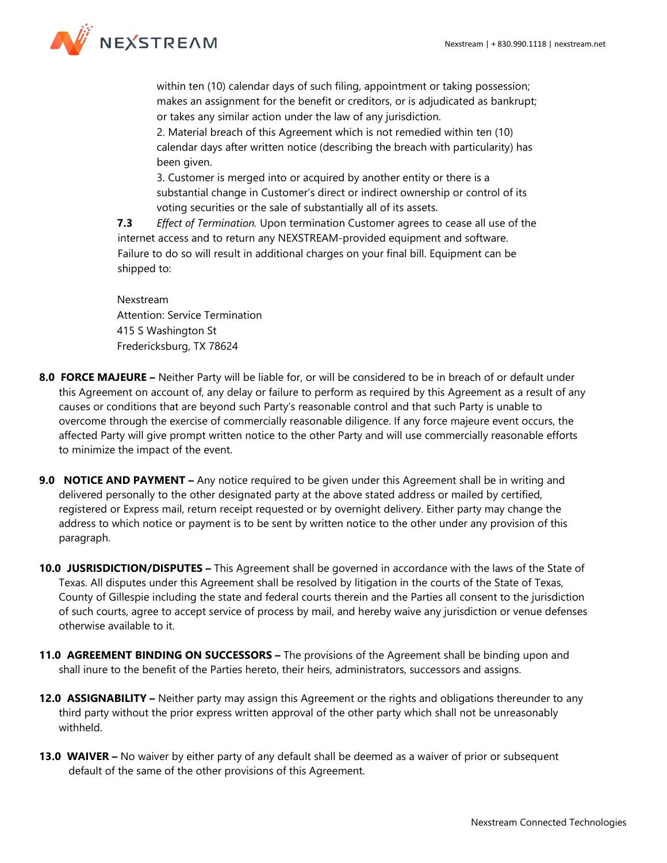

within ten (10) calendar days of such filing, appointment or taking possession; makes an assignment for the benefit or creditors, or is adjudicated as bankrupt; or takes any similar action under the law of any jurisdiction.

2. Material breach of this Agreement which is not remedied within ten (10) calendar days after written notice (describing the breach with particularity) has been given.

3. Customer is merged into or acquired by another entity or there is a substantial change in Customer's direct or indirect ownership or control of its voting securities or the sale of substantially all of its assets.

**7.3** *Effect of Termination.* Upon termination Customer agrees to cease all use of the internet access and to return any NEXSTREAM-provided equipment and software. Failure to do so will result in additional charges on your final bill. Equipment can be shipped to:

Nexstream Attention: Service Termination 415 S Washington St Fredericksburg, TX 78624

- **8.0 FORCE MAJEURE –** Neither Party will be liable for, or will be considered to be in breach of or default under this Agreement on account of, any delay or failure to perform as required by this Agreement as a result of any causes or conditions that are beyond such Party's reasonable control and that such Party is unable to overcome through the exercise of commercially reasonable diligence. If any force majeure event occurs, the affected Party will give prompt written notice to the other Party and will use commercially reasonable efforts to minimize the impact of the event.
- **9.0 NOTICE AND PAYMENT –** Any notice required to be given under this Agreement shall be in writing and delivered personally to the other designated party at the above stated address or mailed by certified, registered or Express mail, return receipt requested or by overnight delivery. Either party may change the address to which notice or payment is to be sent by written notice to the other under any provision of this paragraph.
- **10.0 JUSRISDICTION/DISPUTES –** This Agreement shall be governed in accordance with the laws of the State of Texas. All disputes under this Agreement shall be resolved by litigation in the courts of the State of Texas, County of Gillespie including the state and federal courts therein and the Parties all consent to the jurisdiction of such courts, agree to accept service of process by mail, and hereby waive any jurisdiction or venue defenses otherwise available to it.
- **11.0 AGREEMENT BINDING ON SUCCESSORS –** The provisions of the Agreement shall be binding upon and shall inure to the benefit of the Parties hereto, their heirs, administrators, successors and assigns.
- **12.0 ASSIGNABILITY –** Neither party may assign this Agreement or the rights and obligations thereunder to any third party without the prior express written approval of the other party which shall not be unreasonably withheld.
- **13.0 WAIVER –** No waiver by either party of any default shall be deemed as a waiver of prior or subsequent default of the same of the other provisions of this Agreement.